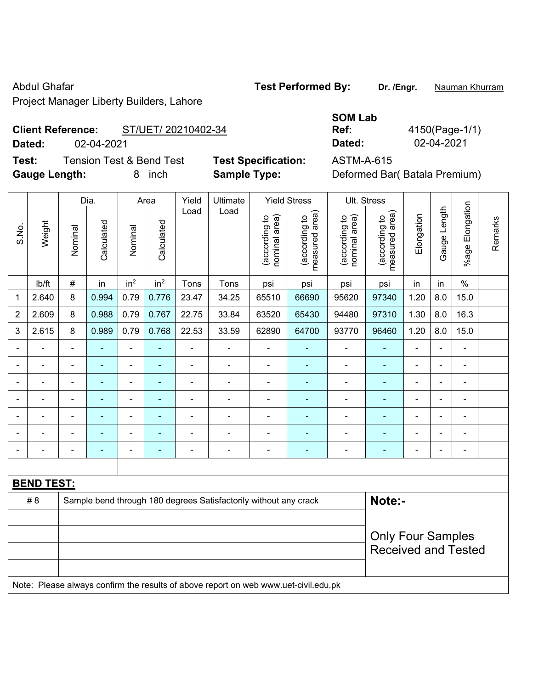Project Manager Liberty Builders, Lahore

# Abdul Ghafar **Test Performed By:** Dr. /Engr. **Nauman Khurram**

**Client Reference:** ST/UET/ 20210402-34

**Dated:** 02-04-2021 **Dated:** 02-04-2021

**Test:** Tension Test & Bend Test **Test Specification:** ASTM-A-615 **Gauge Length:** 8 inch **Sample Type:** Deformed Bar( Batala Premium)

| SOM Lab       |   |
|---------------|---|
| Ref:          | 4 |
| <b>Dated:</b> |   |

**Ref:** 4150(Page-1/1)

|                |                          | Dia.           |            | Area                         |                          | Yield          | Ultimate<br>Load                                                                    |                                | <b>Yield Stress</b>             | Ult. Stress                    |                                 |                          |                |                 |         |
|----------------|--------------------------|----------------|------------|------------------------------|--------------------------|----------------|-------------------------------------------------------------------------------------|--------------------------------|---------------------------------|--------------------------------|---------------------------------|--------------------------|----------------|-----------------|---------|
| S.No.          | Weight                   | Nominal        | Calculated | Nominal                      | Calculated               | Load           |                                                                                     | (according to<br>nominal area) | (according to<br>measured area) | (according to<br>nominal area) | (according to<br>measured area) | Elongation               | Gauge Length   | %age Elongation | Remarks |
|                | Ib/ft                    | $\#$           | in         | in <sup>2</sup>              | in <sup>2</sup>          | Tons           | Tons                                                                                | psi                            | psi                             | psi                            | psi                             | in                       | in             | $\%$            |         |
| 1              | 2.640                    | 8              | 0.994      | 0.79                         | 0.776                    | 23.47          | 34.25                                                                               | 65510                          | 66690                           | 95620                          | 97340                           | 1.20                     | 8.0            | 15.0            |         |
| $\overline{2}$ | 2.609                    | 8              | 0.988      | 0.79                         | 0.767                    | 22.75          | 33.84                                                                               | 63520                          | 65430                           | 94480                          | 97310                           | 1.30                     | $8.0\,$        | 16.3            |         |
| 3              | 2.615                    | 8              | 0.989      | 0.79                         | 0.768                    | 22.53          | 33.59                                                                               | 62890                          | 64700                           | 93770                          | 96460                           | 1.20                     | 8.0            | 15.0            |         |
|                |                          | $\blacksquare$ | ÷,         | $\blacksquare$               |                          | ÷,             | ÷,                                                                                  | $\blacksquare$                 | ٠                               | $\blacksquare$                 | ÷                               | ä,                       | ä,             | $\blacksquare$  |         |
|                | $\overline{\phantom{a}}$ | $\blacksquare$ | ÷,         | $\blacksquare$               | ٠                        | ÷              | $\blacksquare$                                                                      | $\blacksquare$                 | ÷                               | $\blacksquare$                 | ÷                               | $\overline{\phantom{a}}$ | $\blacksquare$ | $\blacksquare$  |         |
|                | $\blacksquare$           | $\blacksquare$ | ÷,         | $\blacksquare$               | ٠                        | ÷,             | ÷,                                                                                  | $\blacksquare$                 | ٠                               | ÷                              | $\blacksquare$                  | ä,                       | L.             | ä,              |         |
|                |                          |                | ÷          | ÷                            |                          |                | ä,                                                                                  | L,                             |                                 | $\blacksquare$                 | ä,                              |                          |                | $\blacksquare$  |         |
|                |                          |                |            | $\qquad \qquad \blacksquare$ |                          |                | ä,                                                                                  | $\blacksquare$                 |                                 | $\overline{a}$                 |                                 |                          |                | $\blacksquare$  |         |
|                |                          |                |            |                              |                          |                | Ē,                                                                                  | $\overline{\phantom{a}}$       | ٠                               | $\blacksquare$                 | ÷,                              | Ē,                       |                | $\overline{a}$  |         |
|                |                          |                | ۰          | $\overline{\phantom{0}}$     | $\overline{\phantom{0}}$ | $\blacksquare$ | $\blacksquare$                                                                      | $\qquad \qquad \blacksquare$   | ۰                               | $\blacksquare$                 | ٠                               | $\blacksquare$           | $\blacksquare$ | $\blacksquare$  |         |
|                |                          |                |            |                              |                          |                |                                                                                     |                                |                                 |                                |                                 |                          |                |                 |         |
|                | <b>BEND TEST:</b>        |                |            |                              |                          |                |                                                                                     |                                |                                 |                                |                                 |                          |                |                 |         |
|                | #8                       |                |            |                              |                          |                | Sample bend through 180 degrees Satisfactorily without any crack                    |                                |                                 |                                | Note:-                          |                          |                |                 |         |
|                |                          |                |            |                              |                          |                |                                                                                     |                                |                                 |                                |                                 |                          |                |                 |         |
|                |                          |                |            |                              |                          |                |                                                                                     |                                |                                 |                                | <b>Only Four Samples</b>        |                          |                |                 |         |
|                |                          |                |            |                              |                          |                |                                                                                     |                                |                                 |                                | <b>Received and Tested</b>      |                          |                |                 |         |
|                |                          |                |            |                              |                          |                |                                                                                     |                                |                                 |                                |                                 |                          |                |                 |         |
|                |                          |                |            |                              |                          |                | Note: Please always confirm the results of above report on web www.uet-civil.edu.pk |                                |                                 |                                |                                 |                          |                |                 |         |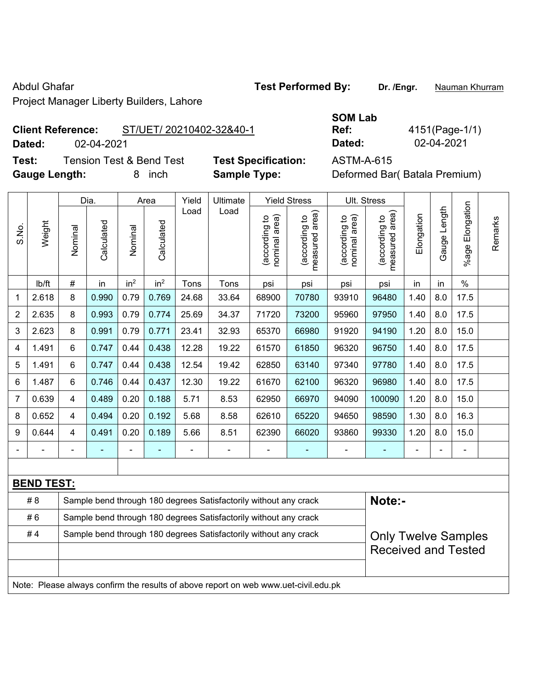Project Manager Liberty Builders, Lahore

## **Client**

**Test:** Tension Test & Bend Test **Test Specification:** ASTM-A-615 **Gauge Length:** 8 inch **Sample Type:** Deformed Bar( Batala Premium)

|                          |            |                          | <b>SOM Lab</b> |             |
|--------------------------|------------|--------------------------|----------------|-------------|
| <b>Client Reference:</b> |            | ST/UET/ 20210402-32&40-1 | Ref:           | 4151(Page-1 |
| Dated:                   | 02-04-2021 |                          | Dated:         | 02-04-2021  |

**Ref:** 4151(Page-1/1)

|                |                   |                                                                  | Dia.       |                 | Area            | Yield          | Ultimate                                                                            |                                | <b>Yield Stress</b>             |                                | Ult. Stress                     |            |                |                            |         |
|----------------|-------------------|------------------------------------------------------------------|------------|-----------------|-----------------|----------------|-------------------------------------------------------------------------------------|--------------------------------|---------------------------------|--------------------------------|---------------------------------|------------|----------------|----------------------------|---------|
| S.No.          | Weight            | Nominal                                                          | Calculated | Nominal         | Calculated      | Load           | Load                                                                                | (according to<br>nominal area) | (according to<br>measured area) | (according to<br>nominal area) | (according to<br>measured area) | Elongation | Gauge Length   | Elongation<br>$%$ age l    | Remarks |
|                | Ib/ft             | $\#$                                                             | in         | in <sup>2</sup> | in <sup>2</sup> | Tons           | Tons                                                                                | psi                            | psi                             | psi                            | psi                             | in         | in             | $\frac{0}{0}$              |         |
| $\mathbf 1$    | 2.618             | 8                                                                | 0.990      | 0.79            | 0.769           | 24.68          | 33.64                                                                               | 68900                          | 70780                           | 93910                          | 96480                           | 1.40       | 8.0            | 17.5                       |         |
| $\overline{2}$ | 2.635             | 8                                                                | 0.993      | 0.79            | 0.774           | 25.69          | 34.37                                                                               | 71720                          | 73200                           | 95960                          | 97950                           | 1.40       | 8.0            | 17.5                       |         |
| 3              | 2.623             | 8                                                                | 0.991      | 0.79            | 0.771           | 23.41          | 32.93                                                                               | 65370                          | 66980                           | 91920                          | 94190                           | 1.20       | 8.0            | 15.0                       |         |
| 4              | 1.491             | 6                                                                | 0.747      | 0.44            | 0.438           | 12.28          | 19.22                                                                               | 61570                          | 61850                           | 96320                          | 96750                           | 1.40       | 8.0            | 17.5                       |         |
| 5              | 1.491             | 6                                                                | 0.747      | 0.44            | 0.438           | 12.54          | 19.42                                                                               | 62850                          | 63140                           | 97340                          | 97780                           | 1.40       | 8.0            | 17.5                       |         |
| 6              | 1.487             | 6                                                                | 0.746      | 0.44            | 0.437           | 12.30          | 19.22                                                                               | 61670                          | 62100                           | 96320                          | 96980                           | 1.40       | 8.0            | 17.5                       |         |
| $\overline{7}$ | 0.639             | $\overline{4}$                                                   | 0.489      | 0.20            | 0.188           | 5.71           | 8.53                                                                                | 62950                          | 66970                           | 94090                          | 100090                          | 1.20       | 8.0            | 15.0                       |         |
| 8              | 0.652             | $\overline{4}$                                                   | 0.494      | 0.20            | 0.192           | 5.68           | 8.58                                                                                | 62610                          | 65220                           | 94650                          | 98590                           | 1.30       | 8.0            | 16.3                       |         |
| 9              | 0.644             | $\overline{4}$                                                   | 0.491      | 0.20            | 0.189           | 5.66           | 8.51                                                                                | 62390                          | 66020                           | 93860                          | 99330                           | 1.20       | 8.0            | 15.0                       |         |
|                |                   |                                                                  |            | ÷,              |                 | $\blacksquare$ | $\blacksquare$                                                                      | $\blacksquare$                 | $\blacksquare$                  | $\blacksquare$                 | ٠                               | ÷          | $\blacksquare$ | -                          |         |
|                |                   |                                                                  |            |                 |                 |                |                                                                                     |                                |                                 |                                |                                 |            |                |                            |         |
|                | <b>BEND TEST:</b> |                                                                  |            |                 |                 |                |                                                                                     |                                |                                 |                                |                                 |            |                |                            |         |
|                | #8                |                                                                  |            |                 |                 |                | Sample bend through 180 degrees Satisfactorily without any crack                    |                                |                                 |                                | Note:-                          |            |                |                            |         |
|                | #6                | Sample bend through 180 degrees Satisfactorily without any crack |            |                 |                 |                |                                                                                     |                                |                                 |                                |                                 |            |                |                            |         |
|                | #4                | Sample bend through 180 degrees Satisfactorily without any crack |            |                 |                 |                |                                                                                     |                                |                                 |                                |                                 |            |                | <b>Only Twelve Samples</b> |         |
|                |                   |                                                                  |            |                 |                 |                |                                                                                     |                                |                                 |                                | <b>Received and Tested</b>      |            |                |                            |         |
|                |                   |                                                                  |            |                 |                 |                |                                                                                     |                                |                                 |                                |                                 |            |                |                            |         |
|                |                   |                                                                  |            |                 |                 |                | Note: Please always confirm the results of above report on web www.uet-civil.edu.pk |                                |                                 |                                |                                 |            |                |                            |         |

Abdul Ghafar **Test Performed By:** Dr. /Engr. **Nauman Khurram**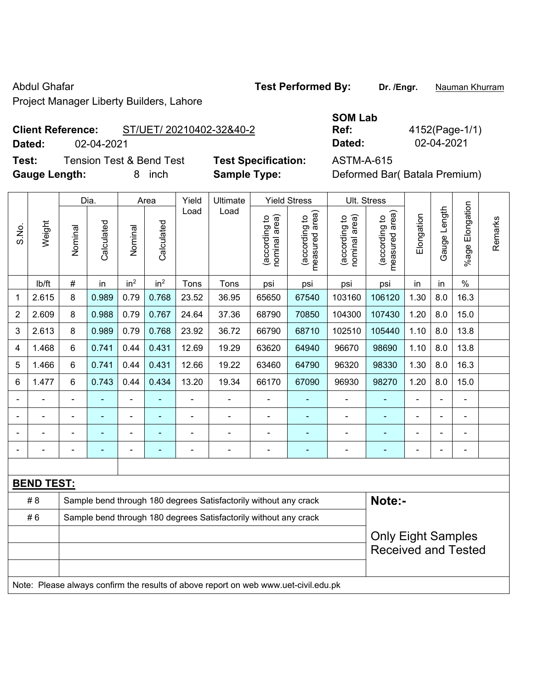Project Manager Liberty Builders, Lahore

# **Client**

| <b>Client Reference:</b> |                                     | ST/UET/ 20210402-32&40-2 |                            | <b>SOM Lab</b><br>Ref: | 4152(Page-1/1)                |
|--------------------------|-------------------------------------|--------------------------|----------------------------|------------------------|-------------------------------|
| Dated:                   | 02-04-2021                          |                          |                            | Dated:                 | 02-04-2021                    |
| Test:                    | <b>Tension Test &amp; Bend Test</b> |                          | <b>Test Specification:</b> | ASTM-A-615             |                               |
| <b>Gauge Length:</b>     |                                     | inch                     | <b>Sample Type:</b>        |                        | Deformed Bar (Batala Premium) |

|                         |                   |                                                                  | Dia.       |                 | Area            | Yield | Ultimate                                                                            |                               | <b>Yield Stress</b>             | Ult. Stress                    |                                 |                |              |                          |         |
|-------------------------|-------------------|------------------------------------------------------------------|------------|-----------------|-----------------|-------|-------------------------------------------------------------------------------------|-------------------------------|---------------------------------|--------------------------------|---------------------------------|----------------|--------------|--------------------------|---------|
| S.No.                   | Weight            | Nominal                                                          | Calculated | Nominal         | Calculated      | Load  | Load                                                                                | nominal area)<br>according to | (according to<br>measured area) | (according to<br>nominal area) | (according to<br>measured area) | Elongation     | Gauge Length | %age Elongation          | Remarks |
|                         | lb/ft             | $\#$                                                             | in         | in <sup>2</sup> | in <sup>2</sup> | Tons  | Tons                                                                                | psi                           | psi                             | psi                            | psi                             | in             | in           | $\%$                     |         |
| $\mathbf 1$             | 2.615             | 8                                                                | 0.989      | 0.79            | 0.768           | 23.52 | 36.95                                                                               | 65650                         | 67540                           | 103160                         | 106120                          | 1.30           | 8.0          | 16.3                     |         |
| $\overline{2}$          | 2.609             | 8                                                                | 0.988      | 0.79            | 0.767           | 24.64 | 37.36                                                                               | 68790                         | 70850                           | 104300                         | 107430                          | 1.20           | 8.0          | 15.0                     |         |
| $\mathbf{3}$            | 2.613             | 8                                                                | 0.989      | 0.79            | 0.768           | 23.92 | 36.72                                                                               | 66790                         | 68710                           | 102510                         | 105440                          | 1.10           | 8.0          | 13.8                     |         |
| $\overline{\mathbf{4}}$ | 1.468             | 6                                                                | 0.741      | 0.44            | 0.431           | 12.69 | 19.29                                                                               | 63620                         | 64940                           | 96670                          | 98690                           | 1.10           | 8.0          | 13.8                     |         |
| 5                       | 1.466             | 6                                                                | 0.741      | 0.44            | 0.431           | 12.66 | 19.22                                                                               | 63460                         | 64790                           | 96320                          | 98330                           | 1.30           | 8.0          | 16.3                     |         |
| $\,6\,$                 | 1.477             | 6                                                                | 0.743      | 0.44            | 0.434           | 13.20 | 19.34                                                                               | 66170                         | 67090                           | 96930                          | 98270                           | 1.20           | 8.0          | 15.0                     |         |
|                         |                   |                                                                  |            |                 |                 |       |                                                                                     |                               |                                 | ÷,                             |                                 |                |              |                          |         |
|                         |                   |                                                                  |            |                 |                 |       |                                                                                     |                               |                                 |                                |                                 |                |              | -                        |         |
|                         |                   |                                                                  |            |                 |                 |       |                                                                                     |                               |                                 | $\overline{a}$                 | ÷                               |                |              | ÷                        |         |
|                         |                   | Ē,                                                               |            |                 | ۰               | ä,    | $\blacksquare$                                                                      | $\blacksquare$                | $\blacksquare$                  | $\blacksquare$                 | $\qquad \qquad \blacksquare$    | $\blacksquare$ |              | $\overline{\phantom{0}}$ |         |
|                         |                   |                                                                  |            |                 |                 |       |                                                                                     |                               |                                 |                                |                                 |                |              |                          |         |
|                         | <b>BEND TEST:</b> |                                                                  |            |                 |                 |       |                                                                                     |                               |                                 |                                |                                 |                |              |                          |         |
|                         | # 8               |                                                                  |            |                 |                 |       | Sample bend through 180 degrees Satisfactorily without any crack                    |                               |                                 |                                | Note:-                          |                |              |                          |         |
|                         | #6                | Sample bend through 180 degrees Satisfactorily without any crack |            |                 |                 |       |                                                                                     |                               |                                 |                                |                                 |                |              |                          |         |
|                         |                   | <b>Only Eight Samples</b>                                        |            |                 |                 |       |                                                                                     |                               |                                 |                                |                                 |                |              |                          |         |
|                         |                   |                                                                  |            |                 |                 |       |                                                                                     |                               |                                 |                                | <b>Received and Tested</b>      |                |              |                          |         |
|                         |                   |                                                                  |            |                 |                 |       |                                                                                     |                               |                                 |                                |                                 |                |              |                          |         |
|                         |                   |                                                                  |            |                 |                 |       | Note: Please always confirm the results of above report on web www.uet-civil.edu.pk |                               |                                 |                                |                                 |                |              |                          |         |

Abdul Ghafar **Test Performed By:** Dr. /Engr. **Nauman Khurram**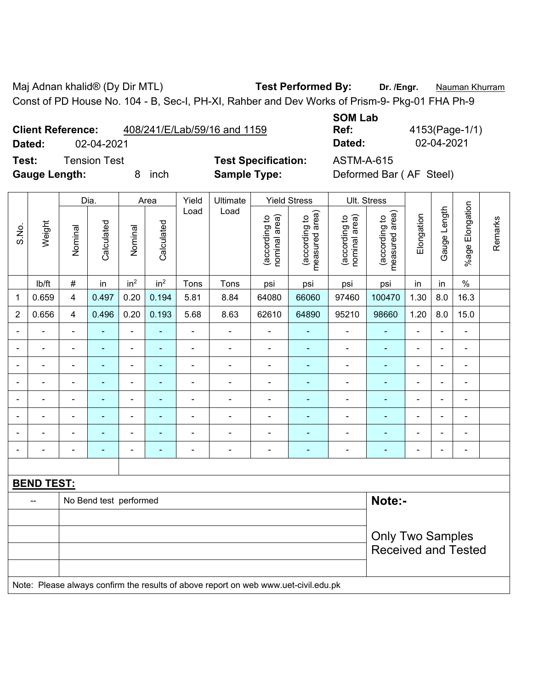Maj Adnan khalid® (Dy Dir MTL) **Test Performed By: Dr. /Engr.** Nauman Khurram Const of PD House No. 104 - B, Sec-I, PH-XI, Rahber and Dev Works of Prism-9- Pkg-01 FHA Ph-9

|                          |              |      | <b>JUIVI LAD</b>             |                         |          |
|--------------------------|--------------|------|------------------------------|-------------------------|----------|
| <b>Client Reference:</b> |              |      | 408/241/E/Lab/59/16 and 1159 | Ref:                    | 4153(Pag |
| Dated:                   | 02-04-2021   |      |                              | Dated:                  | 02-04-20 |
| Test:                    | Tension Test |      | <b>Test Specification:</b>   | <b>ASTM-A-615</b>       |          |
| <b>Gauge Length:</b>     |              | inch | <b>Sample Type:</b>          | Deformed Bar (AF Steel) |          |

**SOM Lab Ref:** 4153(Page-1/1) **Dated:** 02-04-2021 **Dated:** 02-04-2021 **n:** ASTM-A-615

|                |                                                                                     |                         | Dia.                   |                 | Area            | Yield          | Ultimate       |                                | <b>Yield Stress</b>             |                                | Ult. Stress                                 |                              |                |                              |         |
|----------------|-------------------------------------------------------------------------------------|-------------------------|------------------------|-----------------|-----------------|----------------|----------------|--------------------------------|---------------------------------|--------------------------------|---------------------------------------------|------------------------------|----------------|------------------------------|---------|
| S.No.          | Weight                                                                              | Nominal                 | Calculated             | Nominal         | Calculated      | Load           | Load           | nominal area)<br>(according to | (according to<br>measured area) | (according to<br>nominal area) | (according to<br>neasured area)<br>measured | Elongation                   | Gauge Length   | %age Elongation              | Remarks |
|                | Ib/ft                                                                               | $\#$                    | in                     | in <sup>2</sup> | in <sup>2</sup> | Tons           | Tons           | psi                            | psi                             | psi                            | psi                                         | in                           | in             | $\%$                         |         |
| $\mathbf{1}$   | 0.659                                                                               | $\overline{4}$          | 0.497                  | 0.20            | 0.194           | 5.81           | 8.84           | 64080                          | 66060                           | 97460                          | 100470                                      | 1.30                         | 8.0            | 16.3                         |         |
| $\overline{2}$ | 0.656                                                                               | $\overline{\mathbf{4}}$ | 0.496                  | 0.20            | 0.193           | 5.68           | 8.63           | 62610                          | 64890                           | 95210                          | 98660                                       | 1.20                         | 8.0            | 15.0                         |         |
| $\blacksquare$ | $\blacksquare$                                                                      | $\blacksquare$          | $\blacksquare$         | $\blacksquare$  | $\blacksquare$  | $\blacksquare$ | $\frac{1}{2}$  | $\blacksquare$                 | $\blacksquare$                  | $\overline{\phantom{a}}$       | $\blacksquare$                              | $\blacksquare$               | $\blacksquare$ | ÷,                           |         |
| $\blacksquare$ | $\blacksquare$                                                                      | ä,                      | $\blacksquare$         | $\blacksquare$  | ä,              | $\blacksquare$ | ÷,             | $\blacksquare$                 | $\blacksquare$                  | $\overline{\phantom{a}}$       | $\blacksquare$                              | $\qquad \qquad \blacksquare$ | $\blacksquare$ | $\qquad \qquad \blacksquare$ |         |
| $\blacksquare$ | $\blacksquare$                                                                      | ä,                      | $\blacksquare$         | $\blacksquare$  | ä,              | $\blacksquare$ | $\blacksquare$ | $\blacksquare$                 | ä,                              | $\blacksquare$                 | $\blacksquare$                              | $\blacksquare$               | $\blacksquare$ | $\blacksquare$               |         |
| $\blacksquare$ | $\blacksquare$                                                                      | ä,                      | $\blacksquare$         | $\blacksquare$  | ä,              | $\blacksquare$ | $\blacksquare$ | $\blacksquare$                 | $\blacksquare$                  | $\blacksquare$                 | $\blacksquare$                              | ÷.                           | $\blacksquare$ | ÷,                           |         |
|                | ÷                                                                                   | $\blacksquare$          | ÷                      | $\blacksquare$  |                 |                | ÷.             | $\blacksquare$                 | L.                              | $\blacksquare$                 | ÷,                                          | $\blacksquare$               |                | ä,                           |         |
|                |                                                                                     |                         | ۳                      | $\blacksquare$  | $\blacksquare$  |                |                | $\blacksquare$                 |                                 | Ē,                             |                                             | ÷                            |                | $\blacksquare$               |         |
| $\blacksquare$ |                                                                                     | $\blacksquare$          | ۳                      | $\blacksquare$  | $\blacksquare$  |                | $\blacksquare$ | $\blacksquare$                 | $\blacksquare$                  | $\blacksquare$                 | $\blacksquare$                              | $\blacksquare$               | $\blacksquare$ | $\blacksquare$               |         |
| $\blacksquare$ | ÷                                                                                   | ä,                      | $\blacksquare$         | $\blacksquare$  | $\blacksquare$  | $\blacksquare$ | $\blacksquare$ | $\blacksquare$                 | $\blacksquare$                  | $\blacksquare$                 | $\blacksquare$                              | $\blacksquare$               | $\blacksquare$ | $\blacksquare$               |         |
|                |                                                                                     |                         |                        |                 |                 |                |                |                                |                                 |                                |                                             |                              |                |                              |         |
|                | <b>BEND TEST:</b>                                                                   |                         |                        |                 |                 |                |                |                                |                                 |                                |                                             |                              |                |                              |         |
|                | --                                                                                  |                         | No Bend test performed |                 |                 |                |                |                                |                                 |                                | Note:-                                      |                              |                |                              |         |
|                |                                                                                     |                         |                        |                 |                 |                |                |                                |                                 |                                |                                             |                              |                |                              |         |
|                |                                                                                     |                         |                        |                 |                 |                |                |                                |                                 |                                | <b>Only Two Samples</b>                     |                              |                |                              |         |
|                |                                                                                     |                         |                        |                 |                 |                |                |                                |                                 |                                | <b>Received and Tested</b>                  |                              |                |                              |         |
|                | Note: Please always confirm the results of above report on web www.uet-civil.edu.pk |                         |                        |                 |                 |                |                |                                |                                 |                                |                                             |                              |                |                              |         |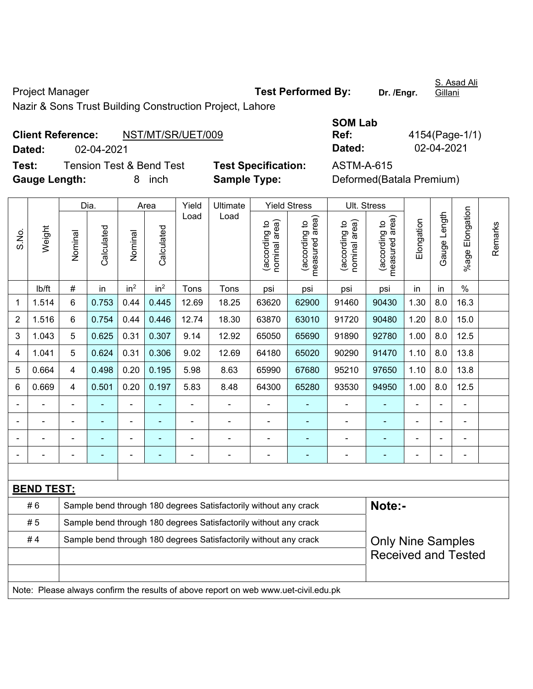Project Manager **Test Performed By:** Dr. /Engr.

S. Asad Ali Gillani

Nazir & Sons Trust Building Construction Project, Lahore

|                      | <b>Client Reference:</b> | NST/MT/SR/UET/009                   |                            | Ref:       | 4154(Page-1/              |  |  |  |
|----------------------|--------------------------|-------------------------------------|----------------------------|------------|---------------------------|--|--|--|
| Dated:               | 02-04-2021               |                                     |                            | Dated:     | 02-04-2021                |  |  |  |
| Test:                |                          | <b>Tension Test &amp; Bend Test</b> | <b>Test Specification:</b> | ASTM-A-615 |                           |  |  |  |
| <b>Gauge Length:</b> |                          | inch                                | <b>Sample Type:</b>        |            | Deformed (Batala Premium) |  |  |  |

| 4154(Page-1/1) |
|----------------|
| 02-04-2021     |
|                |

|                |                                                                                     |                                                                  | Dia.       |                 | Area            |                | <b>Ultimate</b>                                                  |                                |                                                                    |                                               |                                                        |                |              |                    |         |
|----------------|-------------------------------------------------------------------------------------|------------------------------------------------------------------|------------|-----------------|-----------------|----------------|------------------------------------------------------------------|--------------------------------|--------------------------------------------------------------------|-----------------------------------------------|--------------------------------------------------------|----------------|--------------|--------------------|---------|
| S.No.          | Weight                                                                              | Nominal                                                          | Calculated | Nominal         | Calculated      | Yield<br>Load  | Load                                                             | (according to<br>nominal area) | <b>Yield Stress</b><br>(according to<br>measured area)<br>measured | Ult. Stress<br>(according to<br>nominal area) | (according to<br>measured area)                        | Elongation     | Gauge Length | Elongation<br>%age | Remarks |
|                | lb/ft                                                                               | $\#$                                                             | in         | in <sup>2</sup> | in <sup>2</sup> | Tons           | Tons                                                             | psi                            | psi                                                                | psi                                           | psi                                                    | in             | in           | $\%$               |         |
| $\mathbf 1$    | 1.514                                                                               | $6\phantom{1}$                                                   | 0.753      | 0.44            | 0.445           | 12.69          | 18.25                                                            | 63620                          | 62900                                                              | 91460                                         | 90430                                                  | 1.30           | 8.0          | 16.3               |         |
| $\overline{2}$ | 1.516                                                                               | 6                                                                | 0.754      | 0.44            | 0.446           | 12.74          | 18.30                                                            | 63870                          | 63010                                                              | 91720                                         | 90480                                                  | 1.20           | 8.0          | 15.0               |         |
| 3              | 1.043                                                                               | 5                                                                | 0.625      | 0.31            | 0.307           | 9.14           | 12.92                                                            | 65050                          | 65690                                                              | 91890                                         | 92780                                                  | 1.00           | 8.0          | 12.5               |         |
| 4              | 1.041                                                                               | 5                                                                | 0.624      | 0.31            | 0.306           | 9.02           | 12.69                                                            | 64180                          | 65020                                                              | 90290                                         | 91470                                                  | 1.10           | 8.0          | 13.8               |         |
| 5              | 0.664                                                                               | $\overline{4}$                                                   | 0.498      | 0.20            | 0.195           | 5.98           | 8.63                                                             | 65990                          | 67680                                                              | 95210                                         | 97650                                                  | 1.10           | 8.0          | 13.8               |         |
| $\,6$          | 0.669                                                                               | $\overline{4}$                                                   | 0.501      | 0.20            | 0.197           | 5.83           | 8.48                                                             | 64300                          | 65280                                                              | 93530                                         | 94950                                                  | 1.00           | 8.0          | 12.5               |         |
| $\blacksquare$ |                                                                                     |                                                                  |            |                 |                 |                |                                                                  |                                |                                                                    |                                               |                                                        |                |              |                    |         |
|                |                                                                                     |                                                                  |            | ۰               | ٠               | $\blacksquare$ | $\blacksquare$                                                   | $\blacksquare$                 |                                                                    |                                               |                                                        |                |              | $\blacksquare$     |         |
|                |                                                                                     |                                                                  |            |                 |                 |                |                                                                  |                                |                                                                    |                                               |                                                        |                |              |                    |         |
|                |                                                                                     |                                                                  |            | ۰               | ۰               | $\overline{a}$ |                                                                  |                                |                                                                    |                                               |                                                        | $\blacksquare$ |              | $\blacksquare$     |         |
|                |                                                                                     |                                                                  |            |                 |                 |                |                                                                  |                                |                                                                    |                                               |                                                        |                |              |                    |         |
|                | <b>BEND TEST:</b>                                                                   |                                                                  |            |                 |                 |                |                                                                  |                                |                                                                    |                                               |                                                        |                |              |                    |         |
|                | #6                                                                                  |                                                                  |            |                 |                 |                | Sample bend through 180 degrees Satisfactorily without any crack |                                |                                                                    |                                               | Note:-                                                 |                |              |                    |         |
|                | # 5                                                                                 |                                                                  |            |                 |                 |                | Sample bend through 180 degrees Satisfactorily without any crack |                                |                                                                    |                                               |                                                        |                |              |                    |         |
|                | #4                                                                                  | Sample bend through 180 degrees Satisfactorily without any crack |            |                 |                 |                |                                                                  |                                |                                                                    |                                               | <b>Only Nine Samples</b><br><b>Received and Tested</b> |                |              |                    |         |
|                | Note: Please always confirm the results of above report on web www.uet-civil.edu.pk |                                                                  |            |                 |                 |                |                                                                  |                                |                                                                    |                                               |                                                        |                |              |                    |         |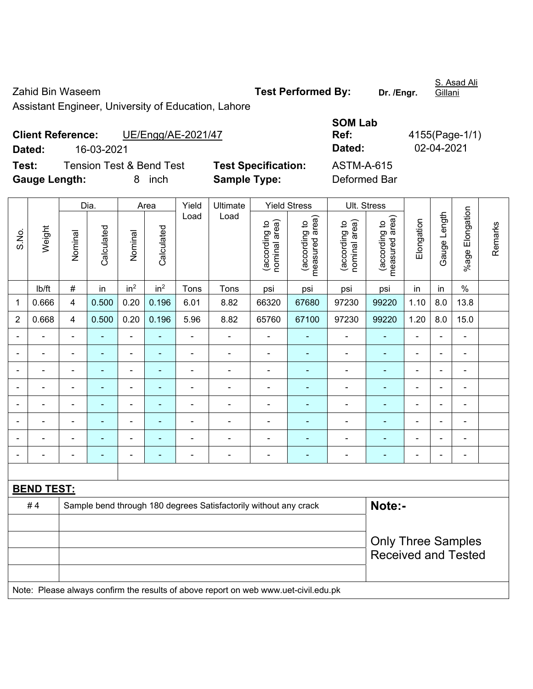Zahid Bin Waseem **Test Performed By:** Dr. /Engr.

S. Asad Ali Gillani

Assistant Engineer, University of Education, Lahore

| <b>Client Reference:</b> |            | UE/Engg/AE-2021/47       |                            | Ref:         | 4155(Page-1/ |
|--------------------------|------------|--------------------------|----------------------------|--------------|--------------|
| Dated:                   | 16-03-2021 |                          |                            | Dated:       | 02-04-2021   |
| Test:                    |            | Tension Test & Bend Test | <b>Test Specification:</b> | ASTM-A-615   |              |
| <b>Gauge Length:</b>     |            | inch                     | <b>Sample Type:</b>        | Deformed Bar |              |

| <b>SOM Lab</b>    |                |
|-------------------|----------------|
| Ref:              | 4155(Page-1/1) |
| Dated:            | 02-04-2021     |
| <b>ASTM-A-615</b> |                |
| Deformed Bar      |                |

|                          |                                                                                     |                | Dia.           |                          | Area            | Yield                    | Ultimate       |                                | <b>Yield Stress</b>             |                                | Ult. Stress                     |                |                          |                 | Remarks |
|--------------------------|-------------------------------------------------------------------------------------|----------------|----------------|--------------------------|-----------------|--------------------------|----------------|--------------------------------|---------------------------------|--------------------------------|---------------------------------|----------------|--------------------------|-----------------|---------|
| S.No.                    | Weight                                                                              | Nominal        | Calculated     | Nominal                  | Calculated      | Load                     | Load           | nominal area)<br>(according to | measured area)<br>(according to | nominal area)<br>(according to | measured area)<br>(according to | Elongation     | Gauge Length             | %age Elongation |         |
|                          | lb/ft                                                                               | $\#$           | in             | in <sup>2</sup>          | in <sup>2</sup> | Tons                     | Tons           | psi                            | psi                             | psi                            | psi                             | in             | in                       | $\%$            |         |
| 1                        | 0.666                                                                               | $\overline{4}$ | 0.500          | 0.20                     | 0.196           | 6.01                     | 8.82           | 66320                          | 67680                           | 97230                          | 99220                           | 1.10           | 8.0                      | 13.8            |         |
| $\overline{2}$           | 0.668                                                                               | 4              | 0.500          | 0.20                     | 0.196           | 5.96                     | 8.82           | 65760                          | 67100                           | 97230                          | 99220                           | 1.20           | 8.0                      | 15.0            |         |
| $\overline{\phantom{0}}$ |                                                                                     | $\blacksquare$ | $\blacksquare$ | $\blacksquare$           | $\blacksquare$  | $\overline{a}$           | $\blacksquare$ | ä,                             | ۰                               | $\blacksquare$                 | ٠                               | $\blacksquare$ | $\blacksquare$           | $\blacksquare$  |         |
| $\blacksquare$           | $\blacksquare$                                                                      | $\blacksquare$ | $\blacksquare$ | ä,                       | L,              | Ē,                       | $\blacksquare$ | ä,                             | ۰                               | ÷                              | $\blacksquare$                  | $\blacksquare$ | $\blacksquare$           | ä,              |         |
| $\blacksquare$           | $\overline{\phantom{0}}$                                                            | $\blacksquare$ | $\blacksquare$ | $\overline{\phantom{a}}$ | ٠               | $\blacksquare$           | $\blacksquare$ | $\blacksquare$                 | ۰                               | $\overline{\phantom{a}}$       | $\blacksquare$                  | $\blacksquare$ | $\overline{a}$           | $\blacksquare$  |         |
| $\blacksquare$           | $\blacksquare$                                                                      | ä,             | $\blacksquare$ | $\blacksquare$           | ä,              | ä,                       | ä,             | ä,                             | ۰                               | ÷                              | $\blacksquare$                  | ä,             | $\blacksquare$           | $\blacksquare$  |         |
| $\blacksquare$           | $\blacksquare$                                                                      | $\blacksquare$ | $\blacksquare$ | $\blacksquare$           | ä,              | $\blacksquare$           | ä,             | ä,                             | ۰                               | $\blacksquare$                 | $\blacksquare$                  | $\blacksquare$ |                          | ä,              |         |
|                          |                                                                                     |                |                |                          |                 | $\blacksquare$           | $\blacksquare$ | $\blacksquare$                 |                                 |                                |                                 |                |                          | $\blacksquare$  |         |
|                          |                                                                                     |                |                |                          |                 |                          | $\blacksquare$ | $\blacksquare$                 |                                 | $\overline{\phantom{0}}$       |                                 |                |                          | ۰               |         |
| $\blacksquare$           |                                                                                     | $\blacksquare$ | $\blacksquare$ | $\overline{\phantom{0}}$ | ä,              | $\overline{\phantom{a}}$ | ÷              | $\blacksquare$                 | ۰                               | $\overline{a}$                 | $\blacksquare$                  | $\blacksquare$ | $\overline{\phantom{0}}$ | $\blacksquare$  |         |
|                          |                                                                                     |                |                |                          |                 |                          |                |                                |                                 |                                |                                 |                |                          |                 |         |
|                          | <b>BEND TEST:</b>                                                                   |                |                |                          |                 |                          |                |                                |                                 |                                |                                 |                |                          |                 |         |
|                          | Note:-<br>#4<br>Sample bend through 180 degrees Satisfactorily without any crack    |                |                |                          |                 |                          |                |                                |                                 |                                |                                 |                |                          |                 |         |
|                          |                                                                                     |                |                |                          |                 |                          |                |                                |                                 |                                |                                 |                |                          |                 |         |
|                          |                                                                                     |                |                |                          |                 |                          |                |                                |                                 |                                | <b>Only Three Samples</b>       |                |                          |                 |         |
|                          |                                                                                     |                |                |                          |                 |                          |                |                                |                                 |                                | <b>Received and Tested</b>      |                |                          |                 |         |
|                          | Note: Please always confirm the results of above report on web www.uet-civil.edu.pk |                |                |                          |                 |                          |                |                                |                                 |                                |                                 |                |                          |                 |         |